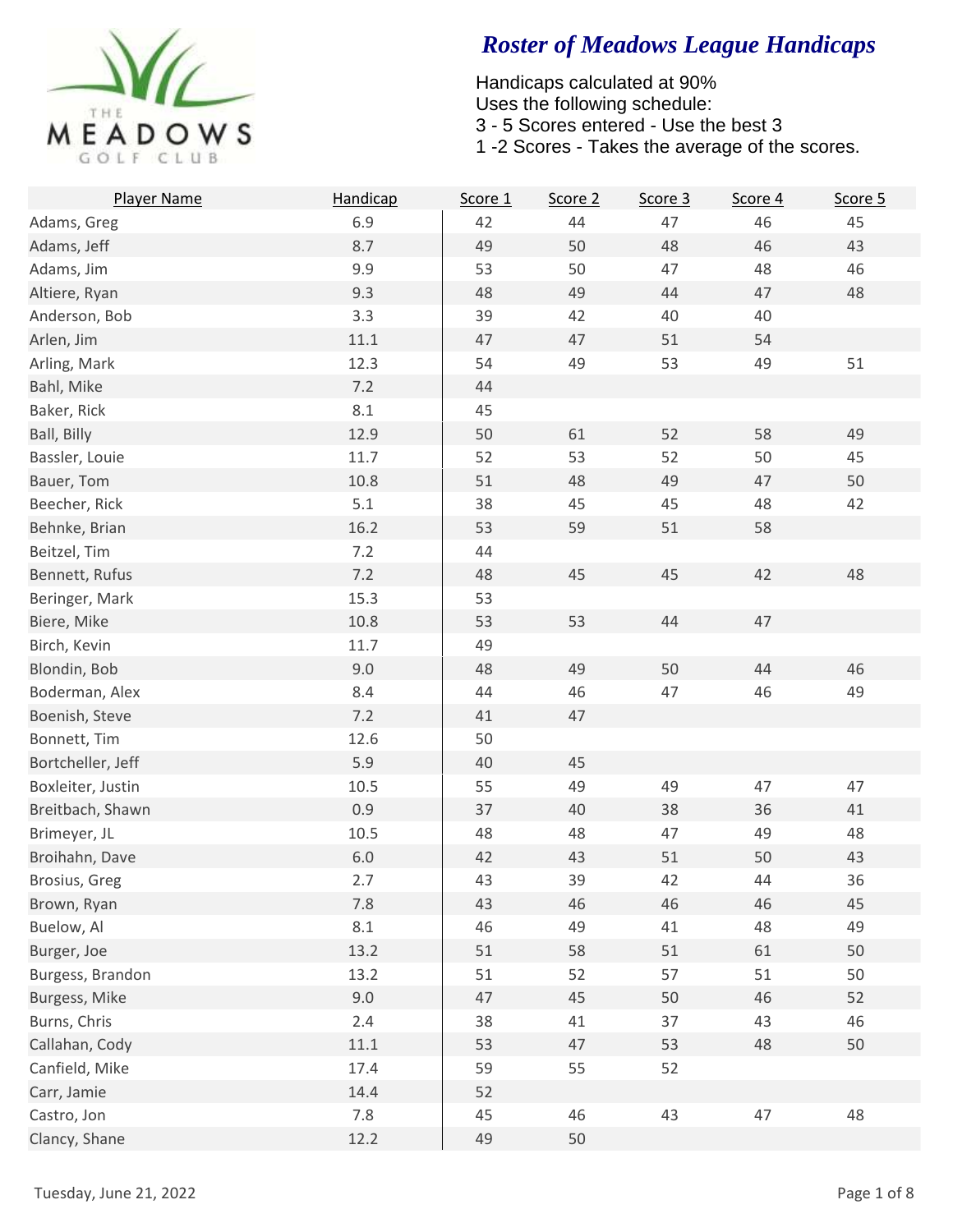

| <b>Player Name</b> | Handicap | Score 1 | Score 2 | Score 3 | Score 4 | Score 5 |
|--------------------|----------|---------|---------|---------|---------|---------|
| Adams, Greg        | 6.9      | 42      | 44      | 47      | 46      | 45      |
| Adams, Jeff        | 8.7      | 49      | 50      | 48      | 46      | 43      |
| Adams, Jim         | 9.9      | 53      | 50      | 47      | 48      | 46      |
| Altiere, Ryan      | 9.3      | 48      | 49      | 44      | 47      | 48      |
| Anderson, Bob      | 3.3      | 39      | 42      | 40      | 40      |         |
| Arlen, Jim         | 11.1     | 47      | 47      | 51      | 54      |         |
| Arling, Mark       | 12.3     | 54      | 49      | 53      | 49      | 51      |
| Bahl, Mike         | 7.2      | 44      |         |         |         |         |
| Baker, Rick        | 8.1      | 45      |         |         |         |         |
| Ball, Billy        | 12.9     | 50      | 61      | 52      | 58      | 49      |
| Bassler, Louie     | 11.7     | 52      | 53      | 52      | 50      | 45      |
| Bauer, Tom         | 10.8     | 51      | 48      | 49      | 47      | 50      |
| Beecher, Rick      | 5.1      | 38      | 45      | 45      | 48      | 42      |
| Behnke, Brian      | 16.2     | 53      | 59      | 51      | 58      |         |
| Beitzel, Tim       | 7.2      | 44      |         |         |         |         |
| Bennett, Rufus     | 7.2      | 48      | 45      | 45      | 42      | 48      |
| Beringer, Mark     | 15.3     | 53      |         |         |         |         |
| Biere, Mike        | 10.8     | 53      | 53      | 44      | 47      |         |
| Birch, Kevin       | 11.7     | 49      |         |         |         |         |
| Blondin, Bob       | 9.0      | 48      | 49      | 50      | 44      | 46      |
| Boderman, Alex     | 8.4      | 44      | 46      | 47      | 46      | 49      |
| Boenish, Steve     | 7.2      | 41      | 47      |         |         |         |
| Bonnett, Tim       | 12.6     | 50      |         |         |         |         |
| Bortcheller, Jeff  | 5.9      | 40      | 45      |         |         |         |
| Boxleiter, Justin  | 10.5     | 55      | 49      | 49      | 47      | 47      |
| Breitbach, Shawn   | 0.9      | 37      | 40      | 38      | 36      | 41      |
| Brimeyer, JL       | 10.5     | 48      | 48      | 47      | 49      | 48      |
| Broihahn, Dave     | 6.0      | 42      | 43      | 51      | 50      | 43      |
| Brosius, Greg      | 2.7      | 43      | 39      | 42      | 44      | 36      |
| Brown, Ryan        | 7.8      | 43      | 46      | 46      | 46      | 45      |
| Buelow, Al         | 8.1      | 46      | 49      | 41      | 48      | 49      |
| Burger, Joe        | 13.2     | 51      | 58      | 51      | 61      | 50      |
| Burgess, Brandon   | 13.2     | 51      | 52      | 57      | 51      | 50      |
| Burgess, Mike      | 9.0      | 47      | 45      | 50      | 46      | 52      |
| Burns, Chris       | 2.4      | 38      | 41      | 37      | 43      | 46      |
| Callahan, Cody     | $11.1\,$ | 53      | 47      | 53      | 48      | 50      |
| Canfield, Mike     | 17.4     | 59      | 55      | 52      |         |         |
| Carr, Jamie        | 14.4     | 52      |         |         |         |         |
| Castro, Jon        | 7.8      | 45      | 46      | 43      | 47      | 48      |
| Clancy, Shane      | 12.2     | 49      | 50      |         |         |         |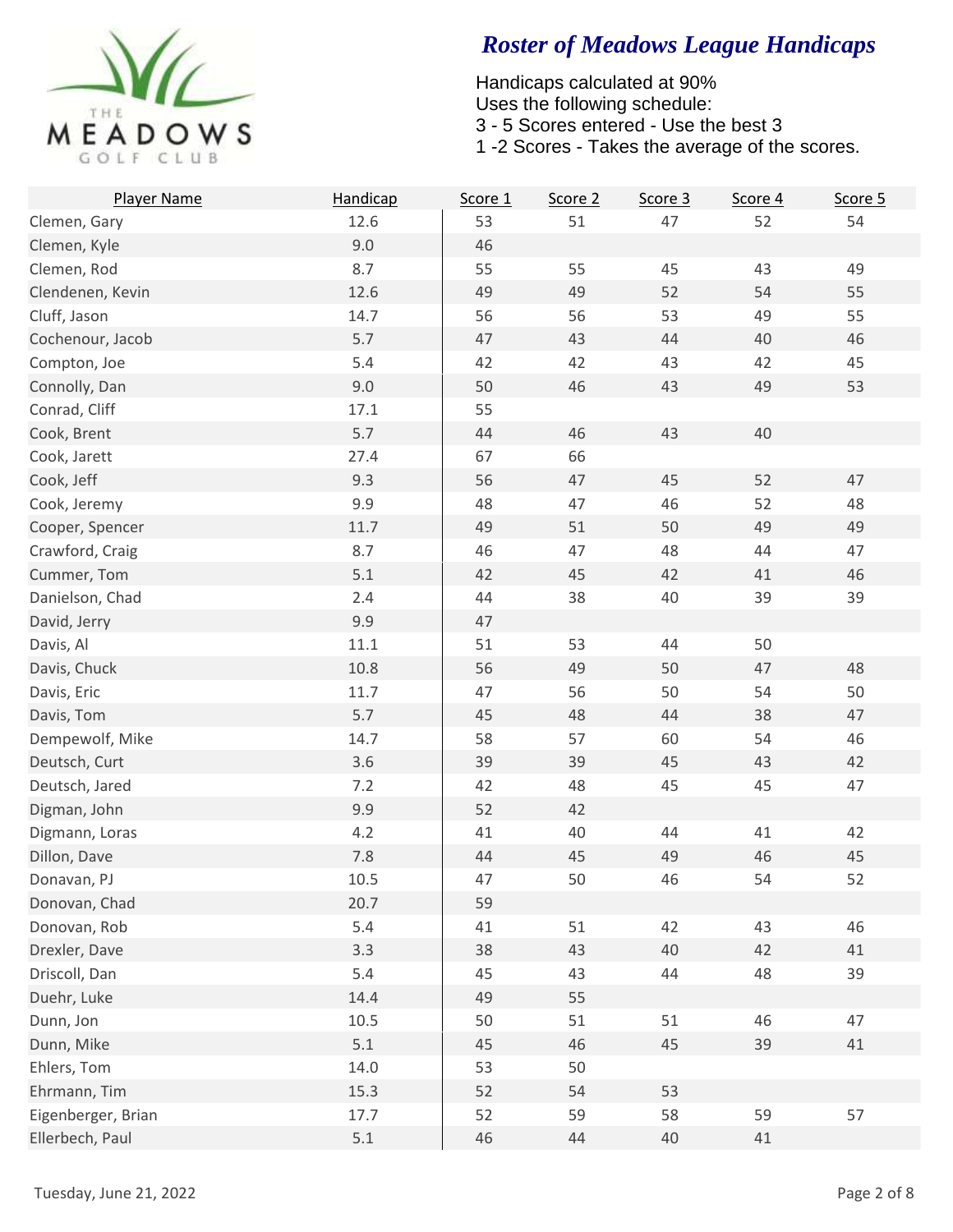

| Player Name        | Handicap | Score 1 | Score 2 | Score 3 | Score 4 | Score 5 |
|--------------------|----------|---------|---------|---------|---------|---------|
| Clemen, Gary       | 12.6     | 53      | 51      | 47      | 52      | 54      |
| Clemen, Kyle       | 9.0      | 46      |         |         |         |         |
| Clemen, Rod        | 8.7      | 55      | 55      | 45      | 43      | 49      |
| Clendenen, Kevin   | 12.6     | 49      | 49      | 52      | 54      | 55      |
| Cluff, Jason       | 14.7     | 56      | 56      | 53      | 49      | 55      |
| Cochenour, Jacob   | 5.7      | 47      | 43      | 44      | 40      | 46      |
| Compton, Joe       | 5.4      | 42      | 42      | 43      | 42      | 45      |
| Connolly, Dan      | 9.0      | 50      | 46      | 43      | 49      | 53      |
| Conrad, Cliff      | 17.1     | 55      |         |         |         |         |
| Cook, Brent        | 5.7      | 44      | 46      | 43      | 40      |         |
| Cook, Jarett       | 27.4     | 67      | 66      |         |         |         |
| Cook, Jeff         | 9.3      | 56      | 47      | 45      | 52      | 47      |
| Cook, Jeremy       | 9.9      | 48      | 47      | 46      | 52      | 48      |
| Cooper, Spencer    | 11.7     | 49      | 51      | 50      | 49      | 49      |
| Crawford, Craig    | 8.7      | 46      | 47      | 48      | 44      | 47      |
| Cummer, Tom        | 5.1      | 42      | 45      | 42      | 41      | 46      |
| Danielson, Chad    | 2.4      | 44      | 38      | 40      | 39      | 39      |
| David, Jerry       | 9.9      | 47      |         |         |         |         |
| Davis, Al          | 11.1     | 51      | 53      | 44      | 50      |         |
| Davis, Chuck       | 10.8     | 56      | 49      | 50      | 47      | 48      |
| Davis, Eric        | 11.7     | 47      | 56      | 50      | 54      | 50      |
| Davis, Tom         | 5.7      | 45      | 48      | 44      | 38      | 47      |
| Dempewolf, Mike    | 14.7     | 58      | 57      | 60      | 54      | 46      |
| Deutsch, Curt      | 3.6      | 39      | 39      | 45      | 43      | 42      |
| Deutsch, Jared     | 7.2      | 42      | 48      | 45      | 45      | 47      |
| Digman, John       | 9.9      | 52      | 42      |         |         |         |
| Digmann, Loras     | 4.2      | 41      | 40      | 44      | 41      | 42      |
| Dillon, Dave       | 7.8      | 44      | 45      | 49      | 46      | 45      |
| Donavan, PJ        | 10.5     | 47      | 50      | 46      | 54      | 52      |
| Donovan, Chad      | 20.7     | 59      |         |         |         |         |
| Donovan, Rob       | 5.4      | 41      | 51      | 42      | 43      | 46      |
| Drexler, Dave      | 3.3      | 38      | 43      | 40      | 42      | 41      |
| Driscoll, Dan      | 5.4      | 45      | 43      | 44      | 48      | 39      |
| Duehr, Luke        | 14.4     | 49      | 55      |         |         |         |
| Dunn, Jon          | $10.5\,$ | 50      | 51      | 51      | 46      | 47      |
| Dunn, Mike         | 5.1      | 45      | 46      | 45      | 39      | 41      |
| Ehlers, Tom        | 14.0     | 53      | 50      |         |         |         |
| Ehrmann, Tim       | 15.3     | 52      | 54      | 53      |         |         |
| Eigenberger, Brian | 17.7     | 52      | 59      | 58      | 59      | 57      |
| Ellerbech, Paul    | $5.1$    | 46      | 44      | 40      | 41      |         |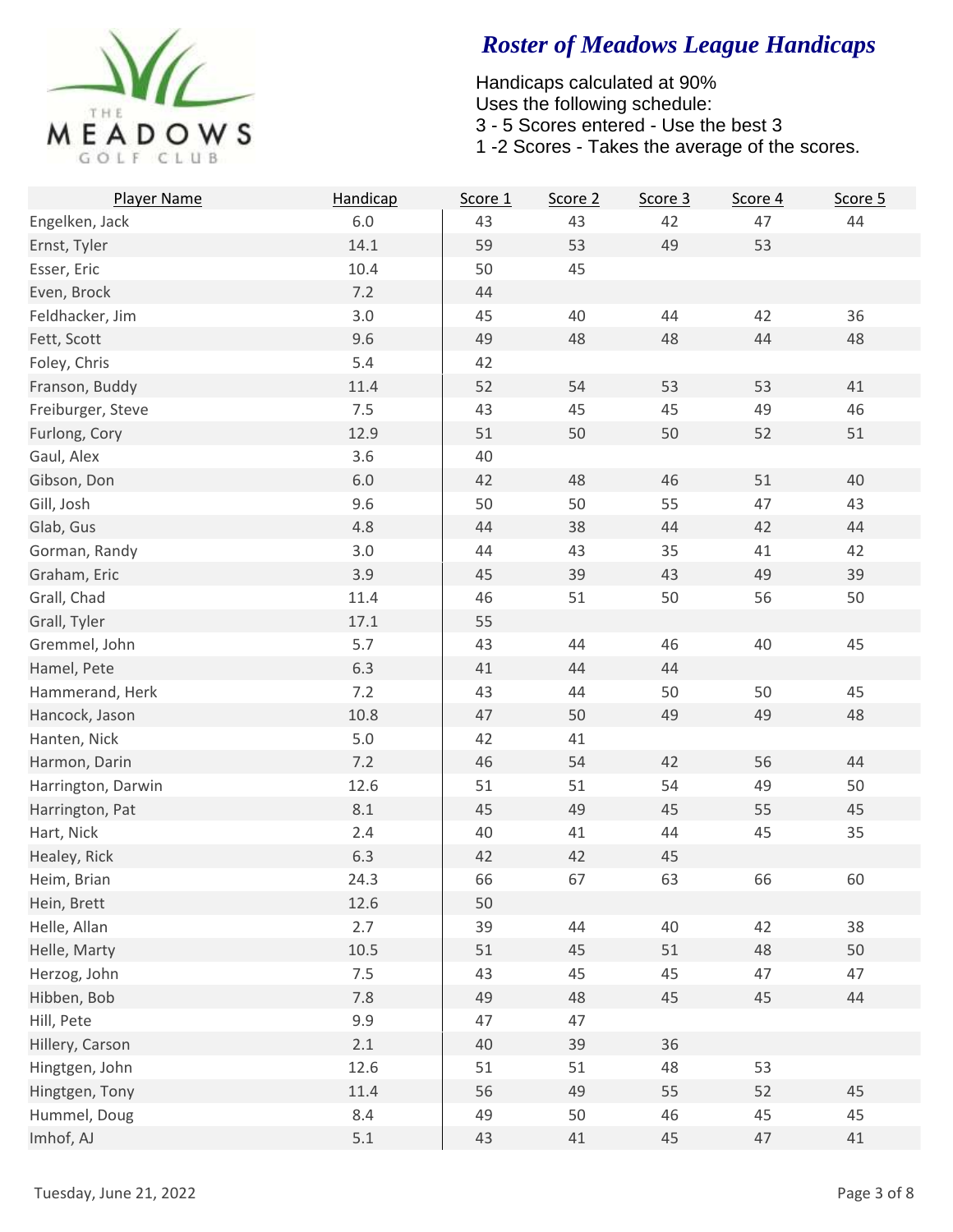

| Player Name        | Handicap | Score 1 | Score 2 | Score 3 | Score 4 | Score 5 |
|--------------------|----------|---------|---------|---------|---------|---------|
| Engelken, Jack     | $6.0\,$  | 43      | 43      | 42      | 47      | 44      |
| Ernst, Tyler       | 14.1     | 59      | 53      | 49      | 53      |         |
| Esser, Eric        | 10.4     | 50      | 45      |         |         |         |
| Even, Brock        | 7.2      | 44      |         |         |         |         |
| Feldhacker, Jim    | 3.0      | 45      | 40      | 44      | 42      | 36      |
| Fett, Scott        | 9.6      | 49      | 48      | 48      | 44      | 48      |
| Foley, Chris       | 5.4      | 42      |         |         |         |         |
| Franson, Buddy     | 11.4     | 52      | 54      | 53      | 53      | 41      |
| Freiburger, Steve  | 7.5      | 43      | 45      | 45      | 49      | 46      |
| Furlong, Cory      | 12.9     | 51      | 50      | 50      | 52      | 51      |
| Gaul, Alex         | 3.6      | 40      |         |         |         |         |
| Gibson, Don        | $6.0\,$  | 42      | 48      | 46      | 51      | 40      |
| Gill, Josh         | 9.6      | 50      | 50      | 55      | 47      | 43      |
| Glab, Gus          | 4.8      | 44      | 38      | 44      | 42      | 44      |
| Gorman, Randy      | 3.0      | 44      | 43      | 35      | 41      | 42      |
| Graham, Eric       | 3.9      | 45      | 39      | 43      | 49      | 39      |
| Grall, Chad        | 11.4     | 46      | 51      | 50      | 56      | 50      |
| Grall, Tyler       | 17.1     | 55      |         |         |         |         |
| Gremmel, John      | 5.7      | 43      | 44      | 46      | 40      | 45      |
| Hamel, Pete        | 6.3      | 41      | 44      | 44      |         |         |
| Hammerand, Herk    | 7.2      | 43      | 44      | 50      | 50      | 45      |
| Hancock, Jason     | 10.8     | 47      | 50      | 49      | 49      | 48      |
| Hanten, Nick       | $5.0$    | 42      | 41      |         |         |         |
| Harmon, Darin      | 7.2      | 46      | 54      | 42      | 56      | 44      |
| Harrington, Darwin | 12.6     | 51      | 51      | 54      | 49      | 50      |
| Harrington, Pat    | 8.1      | 45      | 49      | 45      | 55      | 45      |
| Hart, Nick         | 2.4      | 40      | 41      | 44      | 45      | 35      |
| Healey, Rick       | 6.3      | 42      | 42      | 45      |         |         |
| Heim, Brian        | 24.3     | 66      | 67      | 63      | 66      | 60      |
| Hein, Brett        | 12.6     | 50      |         |         |         |         |
| Helle, Allan       | 2.7      | 39      | 44      | 40      | 42      | 38      |
| Helle, Marty       | $10.5\,$ | 51      | 45      | 51      | 48      | 50      |
| Herzog, John       | 7.5      | 43      | 45      | 45      | 47      | 47      |
| Hibben, Bob        | 7.8      | 49      | 48      | 45      | 45      | 44      |
| Hill, Pete         | 9.9      | 47      | 47      |         |         |         |
| Hillery, Carson    | 2.1      | 40      | 39      | 36      |         |         |
| Hingtgen, John     | 12.6     | 51      | 51      | 48      | 53      |         |
| Hingtgen, Tony     | 11.4     | 56      | 49      | 55      | 52      | 45      |
| Hummel, Doug       | 8.4      | 49      | 50      | 46      | 45      | 45      |
| Imhof, AJ          | $5.1$    | 43      | 41      | 45      | 47      | $41\,$  |
|                    |          |         |         |         |         |         |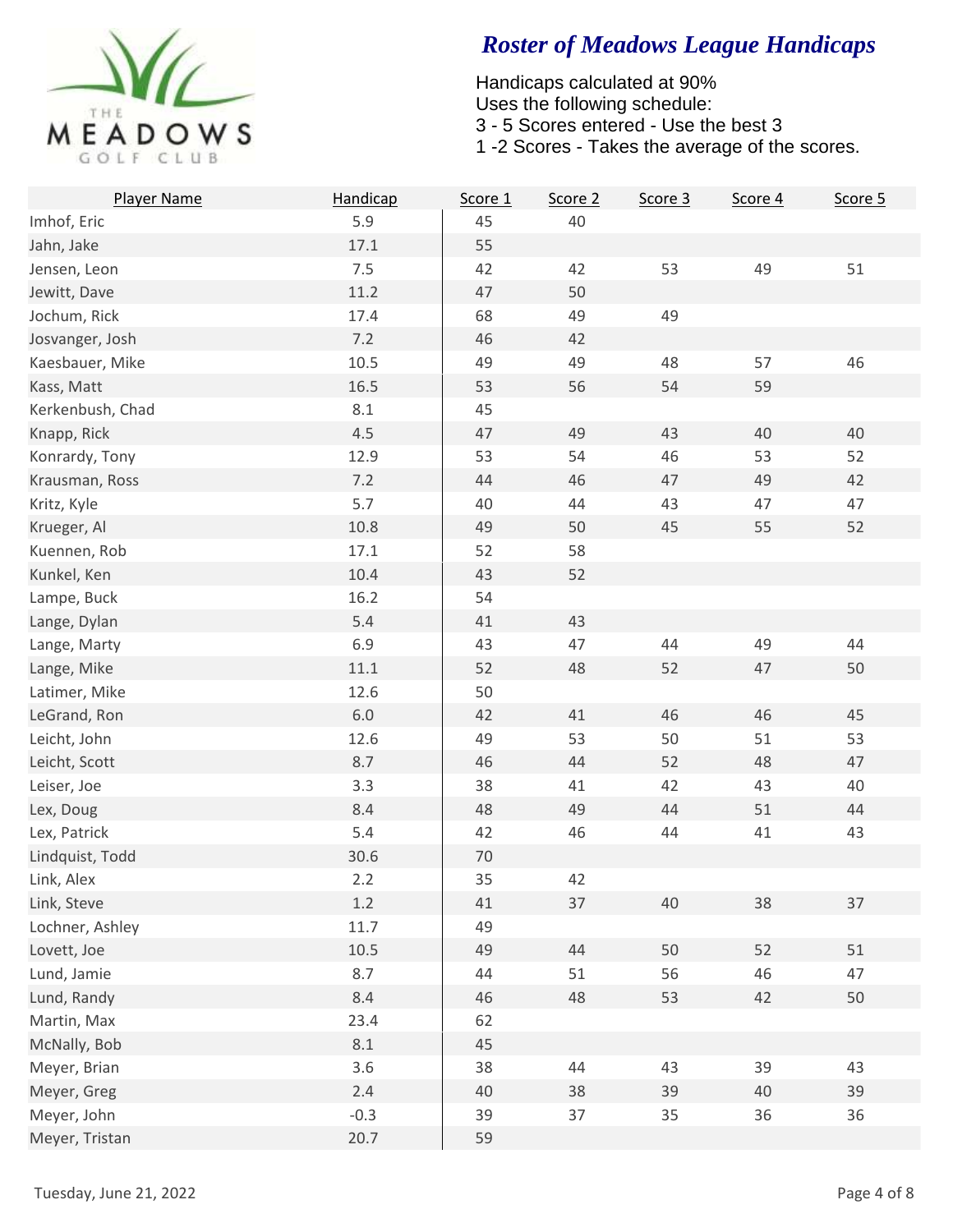

| <b>Player Name</b> | Handicap | Score 1 | Score 2 | Score 3 | Score 4 | Score 5 |
|--------------------|----------|---------|---------|---------|---------|---------|
| Imhof, Eric        | 5.9      | 45      | 40      |         |         |         |
| Jahn, Jake         | 17.1     | 55      |         |         |         |         |
| Jensen, Leon       | 7.5      | 42      | 42      | 53      | 49      | 51      |
| Jewitt, Dave       | 11.2     | 47      | 50      |         |         |         |
| Jochum, Rick       | 17.4     | 68      | 49      | 49      |         |         |
| Josvanger, Josh    | 7.2      | 46      | 42      |         |         |         |
| Kaesbauer, Mike    | 10.5     | 49      | 49      | 48      | 57      | 46      |
| Kass, Matt         | 16.5     | 53      | 56      | 54      | 59      |         |
| Kerkenbush, Chad   | 8.1      | 45      |         |         |         |         |
| Knapp, Rick        | 4.5      | 47      | 49      | 43      | 40      | 40      |
| Konrardy, Tony     | 12.9     | 53      | 54      | 46      | 53      | 52      |
| Krausman, Ross     | 7.2      | 44      | 46      | 47      | 49      | 42      |
| Kritz, Kyle        | 5.7      | 40      | 44      | 43      | 47      | 47      |
| Krueger, Al        | 10.8     | 49      | 50      | 45      | 55      | 52      |
| Kuennen, Rob       | 17.1     | 52      | 58      |         |         |         |
| Kunkel, Ken        | 10.4     | 43      | 52      |         |         |         |
| Lampe, Buck        | 16.2     | 54      |         |         |         |         |
| Lange, Dylan       | 5.4      | 41      | 43      |         |         |         |
| Lange, Marty       | 6.9      | 43      | 47      | 44      | 49      | 44      |
| Lange, Mike        | 11.1     | 52      | 48      | 52      | 47      | 50      |
| Latimer, Mike      | 12.6     | 50      |         |         |         |         |
| LeGrand, Ron       | $6.0\,$  | 42      | 41      | 46      | 46      | 45      |
| Leicht, John       | 12.6     | 49      | 53      | 50      | 51      | 53      |
| Leicht, Scott      | 8.7      | 46      | 44      | 52      | 48      | 47      |
| Leiser, Joe        | 3.3      | 38      | 41      | 42      | 43      | 40      |
| Lex, Doug          | 8.4      | 48      | 49      | 44      | 51      | 44      |
| Lex, Patrick       | 5.4      | 42      | 46      | 44      | 41      | 43      |
| Lindquist, Todd    | 30.6     | $70\,$  |         |         |         |         |
| Link, Alex         | 2.2      | 35      | 42      |         |         |         |
| Link, Steve        | 1.2      | 41      | 37      | 40      | 38      | 37      |
| Lochner, Ashley    | 11.7     | 49      |         |         |         |         |
| Lovett, Joe        | 10.5     | 49      | 44      | 50      | 52      | 51      |
| Lund, Jamie        | 8.7      | 44      | 51      | 56      | 46      | 47      |
| Lund, Randy        | 8.4      | 46      | 48      | 53      | 42      | 50      |
| Martin, Max        | 23.4     | 62      |         |         |         |         |
| McNally, Bob       | 8.1      | 45      |         |         |         |         |
| Meyer, Brian       | 3.6      | 38      | 44      | 43      | 39      | 43      |
| Meyer, Greg        | 2.4      | 40      | 38      | 39      | 40      | 39      |
| Meyer, John        | $-0.3$   | 39      | 37      | 35      | 36      | 36      |
| Meyer, Tristan     | 20.7     | 59      |         |         |         |         |
|                    |          |         |         |         |         |         |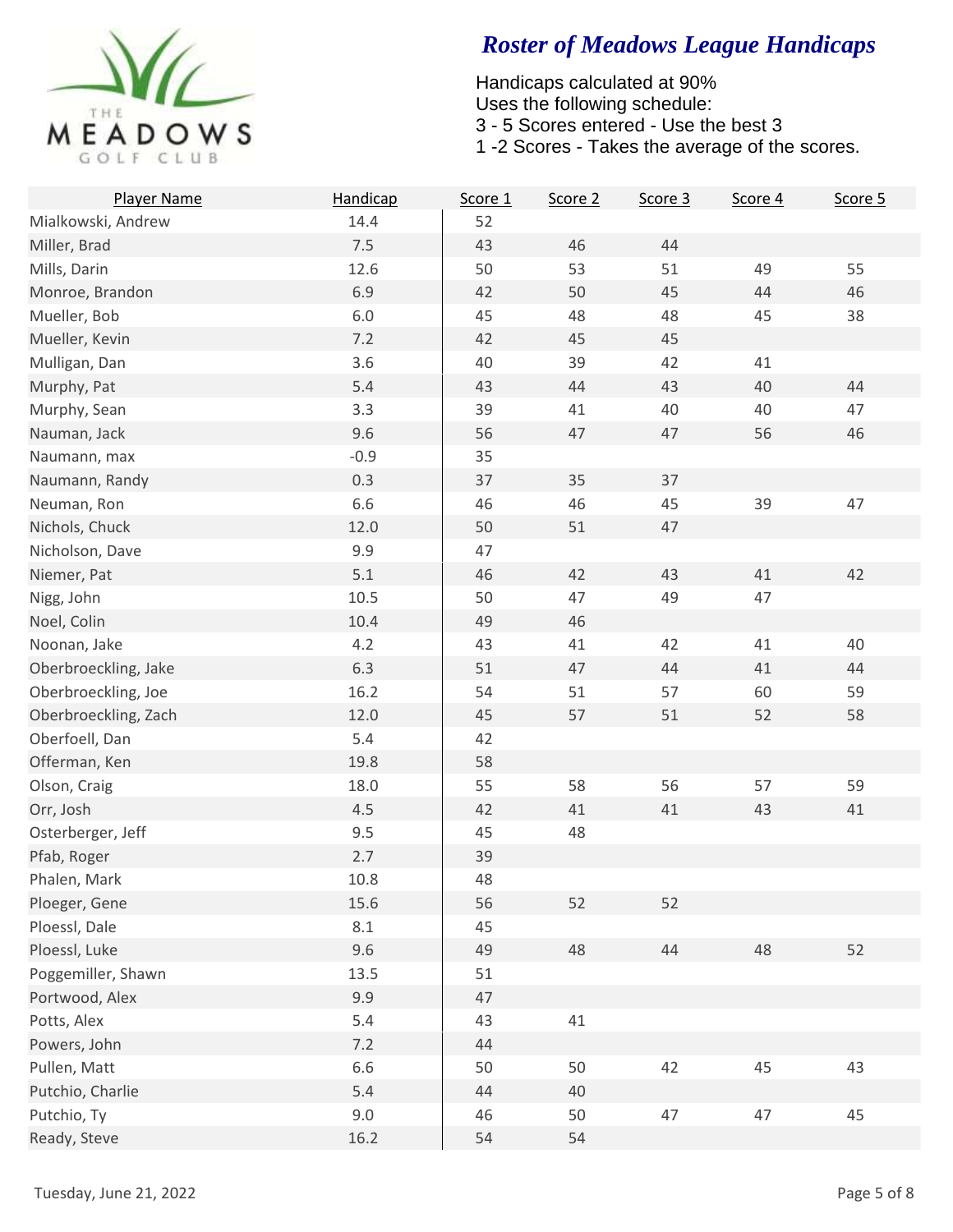

| Player Name          | Handicap | Score 1 | Score 2 | Score 3 | Score 4 | Score 5 |
|----------------------|----------|---------|---------|---------|---------|---------|
| Mialkowski, Andrew   | 14.4     | 52      |         |         |         |         |
| Miller, Brad         | 7.5      | 43      | 46      | 44      |         |         |
| Mills, Darin         | 12.6     | 50      | 53      | 51      | 49      | 55      |
| Monroe, Brandon      | 6.9      | 42      | 50      | 45      | 44      | 46      |
| Mueller, Bob         | $6.0\,$  | 45      | 48      | 48      | 45      | 38      |
| Mueller, Kevin       | 7.2      | 42      | 45      | 45      |         |         |
| Mulligan, Dan        | 3.6      | 40      | 39      | 42      | $41\,$  |         |
| Murphy, Pat          | 5.4      | 43      | 44      | 43      | 40      | 44      |
| Murphy, Sean         | 3.3      | 39      | 41      | 40      | 40      | 47      |
| Nauman, Jack         | 9.6      | 56      | 47      | 47      | 56      | 46      |
| Naumann, max         | $-0.9$   | 35      |         |         |         |         |
| Naumann, Randy       | 0.3      | 37      | 35      | 37      |         |         |
| Neuman, Ron          | 6.6      | 46      | 46      | 45      | 39      | 47      |
| Nichols, Chuck       | 12.0     | 50      | 51      | 47      |         |         |
| Nicholson, Dave      | 9.9      | 47      |         |         |         |         |
| Niemer, Pat          | 5.1      | 46      | 42      | 43      | 41      | 42      |
| Nigg, John           | 10.5     | 50      | 47      | 49      | 47      |         |
| Noel, Colin          | 10.4     | 49      | 46      |         |         |         |
| Noonan, Jake         | 4.2      | 43      | 41      | 42      | 41      | 40      |
| Oberbroeckling, Jake | 6.3      | 51      | 47      | 44      | 41      | 44      |
| Oberbroeckling, Joe  | 16.2     | 54      | 51      | 57      | 60      | 59      |
| Oberbroeckling, Zach | 12.0     | 45      | 57      | 51      | 52      | 58      |
| Oberfoell, Dan       | 5.4      | 42      |         |         |         |         |
| Offerman, Ken        | 19.8     | 58      |         |         |         |         |
| Olson, Craig         | 18.0     | 55      | 58      | 56      | 57      | 59      |
| Orr, Josh            | 4.5      | 42      | 41      | 41      | 43      | 41      |
| Osterberger, Jeff    | 9.5      | 45      | 48      |         |         |         |
| Pfab, Roger          | 2.7      | 39      |         |         |         |         |
| Phalen, Mark         | 10.8     | 48      |         |         |         |         |
| Ploeger, Gene        | 15.6     | 56      | 52      | 52      |         |         |
| Ploessl, Dale        | 8.1      | 45      |         |         |         |         |
| Ploessl, Luke        | 9.6      | 49      | 48      | 44      | 48      | 52      |
| Poggemiller, Shawn   | 13.5     | 51      |         |         |         |         |
| Portwood, Alex       | 9.9      | 47      |         |         |         |         |
| Potts, Alex          | 5.4      | 43      | 41      |         |         |         |
| Powers, John         | 7.2      | 44      |         |         |         |         |
| Pullen, Matt         | 6.6      | 50      | 50      | 42      | 45      | 43      |
| Putchio, Charlie     | 5.4      | 44      | 40      |         |         |         |
| Putchio, Ty          | 9.0      | 46      | 50      | 47      | 47      | 45      |
| Ready, Steve         | 16.2     | 54      | 54      |         |         |         |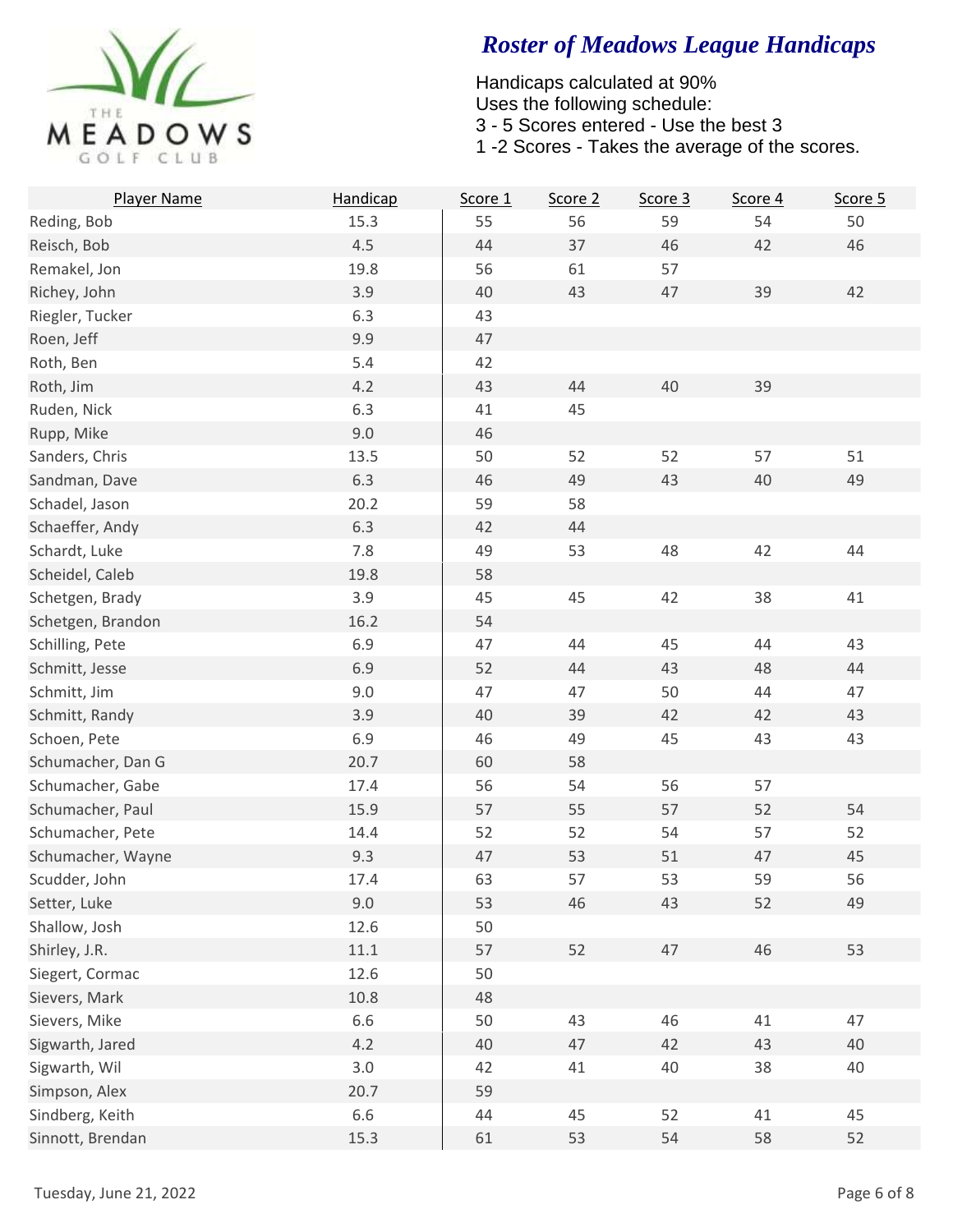

| Player Name       | Handicap | Score 1 | Score 2 | Score 3 | Score 4 | Score 5 |
|-------------------|----------|---------|---------|---------|---------|---------|
| Reding, Bob       | 15.3     | 55      | 56      | 59      | 54      | 50      |
| Reisch, Bob       | 4.5      | 44      | 37      | 46      | 42      | 46      |
| Remakel, Jon      | 19.8     | 56      | 61      | 57      |         |         |
| Richey, John      | 3.9      | 40      | 43      | 47      | 39      | 42      |
| Riegler, Tucker   | 6.3      | 43      |         |         |         |         |
| Roen, Jeff        | 9.9      | 47      |         |         |         |         |
| Roth, Ben         | 5.4      | 42      |         |         |         |         |
| Roth, Jim         | 4.2      | 43      | 44      | 40      | 39      |         |
| Ruden, Nick       | 6.3      | 41      | 45      |         |         |         |
| Rupp, Mike        | 9.0      | 46      |         |         |         |         |
| Sanders, Chris    | 13.5     | 50      | 52      | 52      | 57      | 51      |
| Sandman, Dave     | 6.3      | 46      | 49      | 43      | 40      | 49      |
| Schadel, Jason    | 20.2     | 59      | 58      |         |         |         |
| Schaeffer, Andy   | 6.3      | 42      | 44      |         |         |         |
| Schardt, Luke     | 7.8      | 49      | 53      | 48      | 42      | 44      |
| Scheidel, Caleb   | 19.8     | 58      |         |         |         |         |
| Schetgen, Brady   | 3.9      | 45      | 45      | 42      | 38      | 41      |
| Schetgen, Brandon | 16.2     | 54      |         |         |         |         |
| Schilling, Pete   | 6.9      | 47      | 44      | 45      | 44      | 43      |
| Schmitt, Jesse    | 6.9      | 52      | 44      | 43      | 48      | 44      |
| Schmitt, Jim      | 9.0      | 47      | 47      | 50      | 44      | 47      |
| Schmitt, Randy    | 3.9      | 40      | 39      | 42      | 42      | 43      |
| Schoen, Pete      | 6.9      | 46      | 49      | 45      | 43      | 43      |
| Schumacher, Dan G | 20.7     | 60      | 58      |         |         |         |
| Schumacher, Gabe  | 17.4     | 56      | 54      | 56      | 57      |         |
| Schumacher, Paul  | 15.9     | 57      | 55      | 57      | 52      | 54      |
| Schumacher, Pete  | 14.4     | 52      | 52      | 54      | 57      | 52      |
| Schumacher, Wayne | 9.3      | 47      | 53      | 51      | 47      | 45      |
| Scudder, John     | 17.4     | 63      | 57      | 53      | 59      | 56      |
| Setter, Luke      | 9.0      | 53      | 46      | 43      | 52      | 49      |
| Shallow, Josh     | 12.6     | 50      |         |         |         |         |
| Shirley, J.R.     | 11.1     | 57      | 52      | 47      | 46      | 53      |
| Siegert, Cormac   | 12.6     | 50      |         |         |         |         |
| Sievers, Mark     | 10.8     | 48      |         |         |         |         |
| Sievers, Mike     | 6.6      | 50      | 43      | 46      | 41      | 47      |
| Sigwarth, Jared   | 4.2      | 40      | 47      | 42      | 43      | 40      |
| Sigwarth, Wil     | 3.0      | 42      | 41      | 40      | 38      | 40      |
| Simpson, Alex     | 20.7     | 59      |         |         |         |         |
| Sindberg, Keith   | 6.6      | 44      | 45      | 52      | 41      | 45      |
| Sinnott, Brendan  | 15.3     | 61      | 53      | 54      | 58      | 52      |
|                   |          |         |         |         |         |         |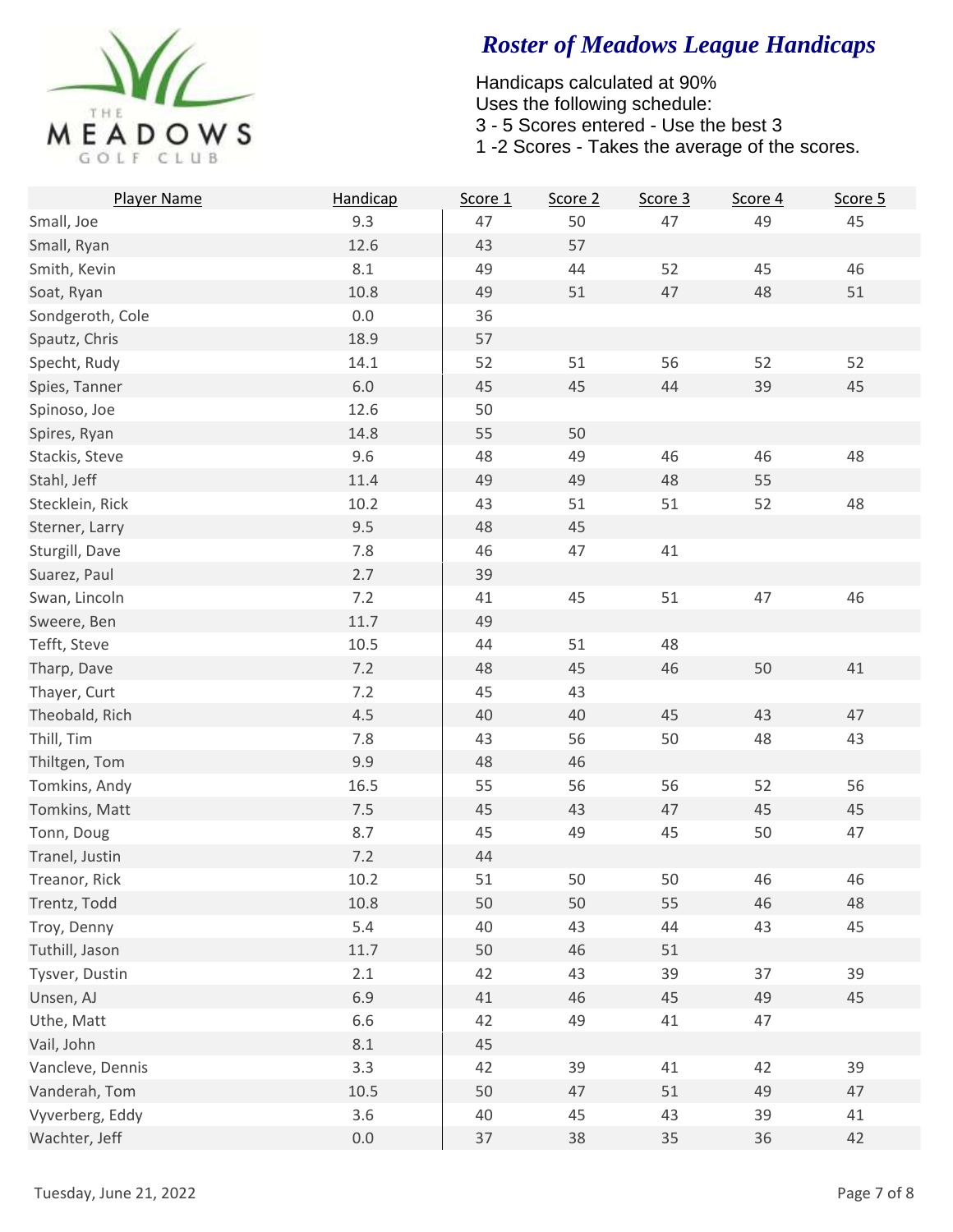

| Player Name      | Handicap | Score 1 | Score 2 | Score 3 | Score 4 | Score 5 |
|------------------|----------|---------|---------|---------|---------|---------|
| Small, Joe       | 9.3      | 47      | 50      | 47      | 49      | 45      |
| Small, Ryan      | 12.6     | 43      | 57      |         |         |         |
| Smith, Kevin     | 8.1      | 49      | 44      | 52      | 45      | 46      |
| Soat, Ryan       | 10.8     | 49      | 51      | 47      | 48      | 51      |
| Sondgeroth, Cole | 0.0      | 36      |         |         |         |         |
| Spautz, Chris    | 18.9     | 57      |         |         |         |         |
| Specht, Rudy     | 14.1     | 52      | 51      | 56      | 52      | 52      |
| Spies, Tanner    | $6.0\,$  | 45      | 45      | 44      | 39      | 45      |
| Spinoso, Joe     | 12.6     | 50      |         |         |         |         |
| Spires, Ryan     | 14.8     | 55      | 50      |         |         |         |
| Stackis, Steve   | 9.6      | 48      | 49      | 46      | 46      | 48      |
| Stahl, Jeff      | 11.4     | 49      | 49      | 48      | 55      |         |
| Stecklein, Rick  | 10.2     | 43      | 51      | 51      | 52      | 48      |
| Sterner, Larry   | 9.5      | 48      | 45      |         |         |         |
| Sturgill, Dave   | 7.8      | 46      | 47      | 41      |         |         |
| Suarez, Paul     | 2.7      | 39      |         |         |         |         |
| Swan, Lincoln    | 7.2      | 41      | 45      | 51      | 47      | 46      |
| Sweere, Ben      | 11.7     | 49      |         |         |         |         |
| Tefft, Steve     | 10.5     | 44      | 51      | 48      |         |         |
| Tharp, Dave      | 7.2      | 48      | 45      | 46      | 50      | 41      |
| Thayer, Curt     | 7.2      | 45      | 43      |         |         |         |
| Theobald, Rich   | 4.5      | 40      | 40      | 45      | 43      | 47      |
| Thill, Tim       | 7.8      | 43      | 56      | 50      | 48      | 43      |
| Thiltgen, Tom    | 9.9      | 48      | 46      |         |         |         |
| Tomkins, Andy    | 16.5     | 55      | 56      | 56      | 52      | 56      |
| Tomkins, Matt    | 7.5      | 45      | 43      | 47      | 45      | 45      |
| Tonn, Doug       | 8.7      | 45      | 49      | 45      | 50      | 47      |
| Tranel, Justin   | 7.2      | 44      |         |         |         |         |
| Treanor, Rick    | 10.2     | 51      | 50      | 50      | 46      | 46      |
| Trentz, Todd     | 10.8     | 50      | 50      | 55      | 46      | 48      |
| Troy, Denny      | 5.4      | 40      | 43      | 44      | 43      | 45      |
| Tuthill, Jason   | 11.7     | 50      | 46      | 51      |         |         |
| Tysver, Dustin   | 2.1      | 42      | 43      | 39      | 37      | 39      |
| Unsen, AJ        | 6.9      | 41      | 46      | 45      | 49      | 45      |
| Uthe, Matt       | 6.6      | 42      | 49      | 41      | 47      |         |
| Vail, John       | $8.1\,$  | 45      |         |         |         |         |
| Vancleve, Dennis | 3.3      | 42      | 39      | 41      | 42      | 39      |
| Vanderah, Tom    | 10.5     | 50      | 47      | 51      | 49      | 47      |
| Vyverberg, Eddy  | 3.6      | 40      | 45      | 43      | 39      | 41      |
| Wachter, Jeff    | $0.0\,$  | 37      | 38      | 35      | 36      | 42      |
|                  |          |         |         |         |         |         |